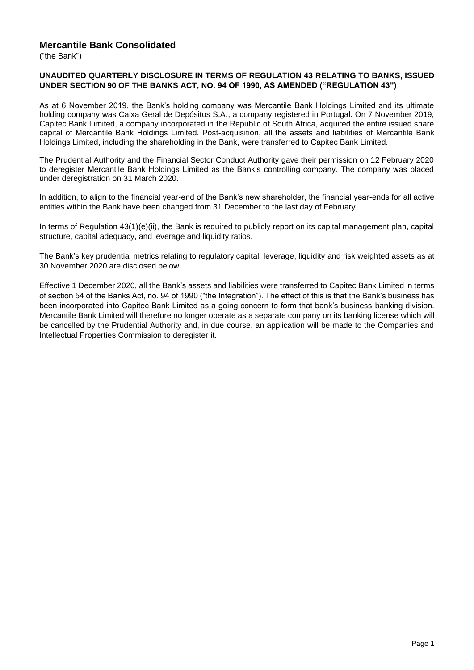## **Mercantile Bank Consolidated**

("the Bank")

#### **UNAUDITED QUARTERLY DISCLOSURE IN TERMS OF REGULATION 43 RELATING TO BANKS, ISSUED UNDER SECTION 90 OF THE BANKS ACT, NO. 94 OF 1990, AS AMENDED ("REGULATION 43")**

As at 6 November 2019, the Bank's holding company was Mercantile Bank Holdings Limited and its ultimate holding company was Caixa Geral de Depósitos S.A., a company registered in Portugal. On 7 November 2019, Capitec Bank Limited, a company incorporated in the Republic of South Africa, acquired the entire issued share capital of Mercantile Bank Holdings Limited. Post-acquisition, all the assets and liabilities of Mercantile Bank Holdings Limited, including the shareholding in the Bank, were transferred to Capitec Bank Limited.

The Prudential Authority and the Financial Sector Conduct Authority gave their permission on 12 February 2020 to deregister Mercantile Bank Holdings Limited as the Bank's controlling company. The company was placed under deregistration on 31 March 2020.

In addition, to align to the financial year-end of the Bank's new shareholder, the financial year-ends for all active entities within the Bank have been changed from 31 December to the last day of February.

In terms of Regulation 43(1)(e)(ii), the Bank is required to publicly report on its capital management plan, capital structure, capital adequacy, and leverage and liquidity ratios.

The Bank's key prudential metrics relating to regulatory capital, leverage, liquidity and risk weighted assets as at 30 November 2020 are disclosed below.

Effective 1 December 2020, all the Bank's assets and liabilities were transferred to Capitec Bank Limited in terms of section 54 of the Banks Act, no. 94 of 1990 ("the Integration"). The effect of this is that the Bank's business has been incorporated into Capitec Bank Limited as a going concern to form that bank's business banking division. Mercantile Bank Limited will therefore no longer operate as a separate company on its banking license which will be cancelled by the Prudential Authority and, in due course, an application will be made to the Companies and Intellectual Properties Commission to deregister it.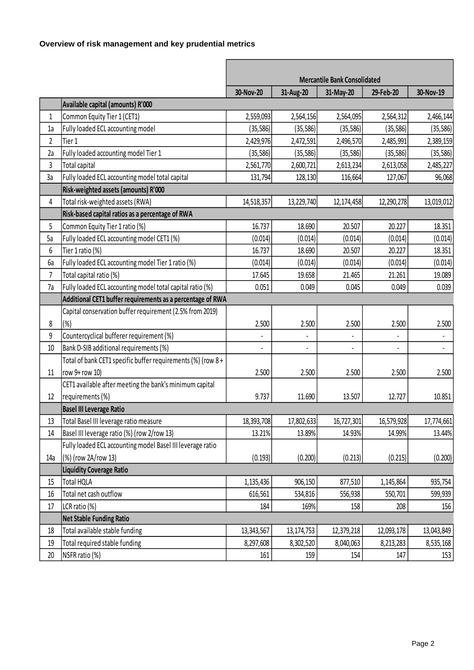# **Overview of risk management and key prudential metrics**

|                |                                                             | <b>Mercantile Bank Consolidated</b> |              |            |            |            |
|----------------|-------------------------------------------------------------|-------------------------------------|--------------|------------|------------|------------|
|                |                                                             | 30-Nov-20                           | 31-Aug-20    | 31-May-20  | 29-Feb-20  | 30-Nov-19  |
|                | Available capital (amounts) R'000                           |                                     |              |            |            |            |
| $\mathbf{1}$   | Common Equity Tier 1 (CET1)                                 | 2,559,093                           | 2,564,156    | 2,564,095  | 2,564,312  | 2,466,144  |
| 1a             | Fully loaded ECL accounting model                           | (35, 586)                           | (35, 586)    | (35, 586)  | (35, 586)  | (35, 586)  |
| $\overline{2}$ | Tier 1                                                      | 2,429,976                           | 2,472,591    | 2,496,570  | 2,485,991  | 2,389,159  |
| 2a             | Fully loaded accounting model Tier 1                        | (35, 586)                           | (35, 586)    | (35, 586)  | (35, 586)  | (35, 586)  |
| 3              | Total capital                                               | 2,561,770                           | 2,600,721    | 2,613,234  | 2,613,058  | 2,485,227  |
| 3a             | Fully loaded ECL accounting model total capital             | 131,794                             | 128,130      | 116,664    | 127,067    | 96,068     |
|                | Risk-weighted assets (amounts) R'000                        |                                     |              |            |            |            |
| 4              | Total risk-weighted assets (RWA)                            | 14,518,357                          | 13,229,740   | 12,174,458 | 12,290,278 | 13,019,012 |
|                | Risk-based capital ratios as a percentage of RWA            |                                     |              |            |            |            |
| 5              | Common Equity Tier 1 ratio (%)                              | 16.737                              | 18.690       | 20.507     | 20.227     | 18.351     |
| 5а             | Fully loaded ECL accounting model CET1 (%)                  | (0.014)                             | (0.014)      | (0.014)    | (0.014)    | (0.014)    |
| 6              | Tier 1 ratio (%)                                            | 16.737                              | 18.690       | 20.507     | 20.227     | 18.351     |
| <b>6a</b>      | Fully loaded ECL accounting model Tier 1 ratio (%)          | (0.014)                             | (0.014)      | (0.014)    | (0.014)    | (0.014)    |
| $\overline{7}$ | Total capital ratio (%)                                     | 17.645                              | 19.658       | 21.465     | 21.261     | 19.089     |
| 7a             | Fully loaded ECL accounting model total capital ratio (%)   | 0.051                               | 0.049        | 0.045      | 0.049      | 0.039      |
|                | Additional CET1 buffer requirements as a percentage of RWA  |                                     |              |            |            |            |
|                | Capital conservation buffer requirement (2.5% from 2019)    |                                     |              |            |            |            |
| 8              | $(\% )$                                                     | 2.500                               | 2.500        | 2.500      | 2.500      | 2.500      |
| 9              | Countercyclical bufferer requirement (%)                    |                                     |              |            |            |            |
| 10             | Bank D-SIB additional requirements (%)                      |                                     |              |            |            |            |
|                | Total of bank CET1 specific buffer requirements (%) (row 8+ |                                     |              |            |            |            |
| 11             | row 9+ row 10)                                              | 2.500                               | 2.500        | 2.500      | 2.500      | 2.500      |
|                | CET1 available after meeting the bank's minimum capital     |                                     |              |            |            |            |
| 12             | requirements (%)                                            | 9.737                               | 11.690       | 13.507     | 12.727     | 10.851     |
|                | <b>Basel III Leverage Ratio</b>                             |                                     |              |            |            |            |
| 13             | Total Basel III leverage ratio measure                      | 18,393,708                          | 17,802,633   | 16,727,301 | 16,579,928 | 17,774,661 |
| 14             | Basel III leverage ratio (%) (row 2/row 13)                 | 13.21%                              | 13.89%       | 14.93%     | 14.99%     | 13.44%     |
|                | Fully loaded ECL accounting model Basel III leverage ratio  |                                     |              |            |            |            |
| 14a            | (%) (row 2A/row 13)                                         | (0.193)                             | (0.200)      | (0.213)    | (0.215)    | (0.200)    |
|                | <b>Liquidity Coverage Ratio</b>                             |                                     |              |            |            |            |
| 15             | Total HQLA                                                  | 1,135,436                           | 906,150      | 877,510    | 1,145,864  | 935,754    |
| 16             | Total net cash outflow                                      | 616,561                             | 534,816      | 556,938    | 550,701    | 599,939    |
| 17             | LCR ratio (%)                                               | 184                                 | 169%         | 158        | 208        | 156        |
|                | <b>Net Stable Funding Ratio</b>                             |                                     |              |            |            |            |
| 18             | Total available stable funding                              | 13,343,567                          | 13, 174, 753 | 12,379,218 | 12,093,178 | 13,043,849 |
| 19             | Total required stable funding                               | 8,297,608                           | 8,302,520    | 8,040,063  | 8,213,283  | 8,535,168  |
| 20             | NSFR ratio (%)                                              | 161                                 | 159          | 154        | 147        | 153        |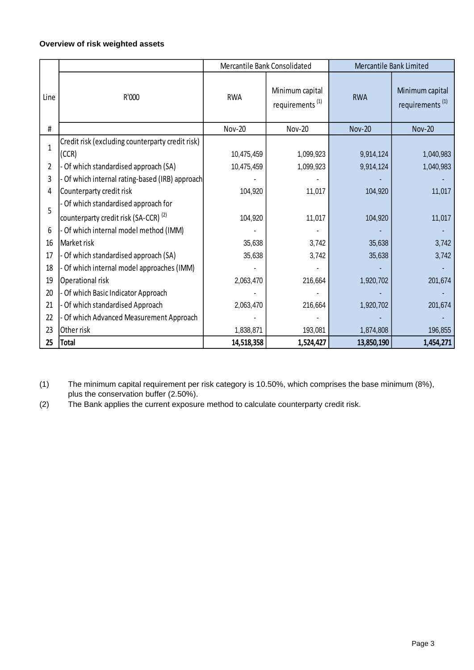# **Overview of risk weighted assets**

|                |                                                  | Mercantile Bank Consolidated |                                                | Mercantile Bank Limited |                                                |  |
|----------------|--------------------------------------------------|------------------------------|------------------------------------------------|-------------------------|------------------------------------------------|--|
| Line           | R'000                                            | <b>RWA</b>                   | Minimum capital<br>requirements <sup>(1)</sup> | <b>RWA</b>              | Minimum capital<br>requirements <sup>(1)</sup> |  |
| #              |                                                  | <b>Nov-20</b>                | <b>Nov-20</b>                                  | <b>Nov-20</b>           | <b>Nov-20</b>                                  |  |
| $\overline{1}$ | Credit risk (excluding counterparty credit risk) |                              |                                                |                         |                                                |  |
|                | (CCR)                                            | 10,475,459                   | 1,099,923                                      | 9,914,124               | 1,040,983                                      |  |
| $\overline{2}$ | Of which standardised approach (SA)              | 10,475,459                   | 1,099,923                                      | 9,914,124               | 1,040,983                                      |  |
| 3              | Of which internal rating-based (IRB) approach    |                              |                                                |                         |                                                |  |
| 4              | Counterparty credit risk                         | 104,920                      | 11,017                                         | 104,920                 | 11,017                                         |  |
| 5              | - Of which standardised approach for             |                              |                                                |                         |                                                |  |
|                | counterparty credit risk (SA-CCR) <sup>(2)</sup> | 104,920                      | 11,017                                         | 104,920                 | 11,017                                         |  |
| 6              | Of which internal model method (IMM)             |                              |                                                |                         |                                                |  |
| 16             | Market risk                                      | 35,638                       | 3,742                                          | 35,638                  | 3,742                                          |  |
| 17             | Of which standardised approach (SA)              | 35,638                       | 3,742                                          | 35,638                  | 3,742                                          |  |
| 18             | - Of which internal model approaches (IMM)       |                              |                                                |                         |                                                |  |
| 19             | Operational risk                                 | 2,063,470                    | 216,664                                        | 1,920,702               | 201,674                                        |  |
| 20             | Of which Basic Indicator Approach                |                              |                                                |                         |                                                |  |
| 21             | Of which standardised Approach                   | 2,063,470                    | 216,664                                        | 1,920,702               | 201,674                                        |  |
| 22             | Of which Advanced Measurement Approach           |                              |                                                |                         |                                                |  |
| 23             | Other risk                                       | 1,838,871                    | 193,081                                        | 1,874,808               | 196,855                                        |  |
| 25             | <b>Total</b>                                     | 14,518,358                   | 1,524,427                                      | 13,850,190              | 1,454,271                                      |  |

(1) The minimum capital requirement per risk category is 10.50%, which comprises the base minimum (8%), plus the conservation buffer (2.50%).

(2) The Bank applies the current exposure method to calculate counterparty credit risk.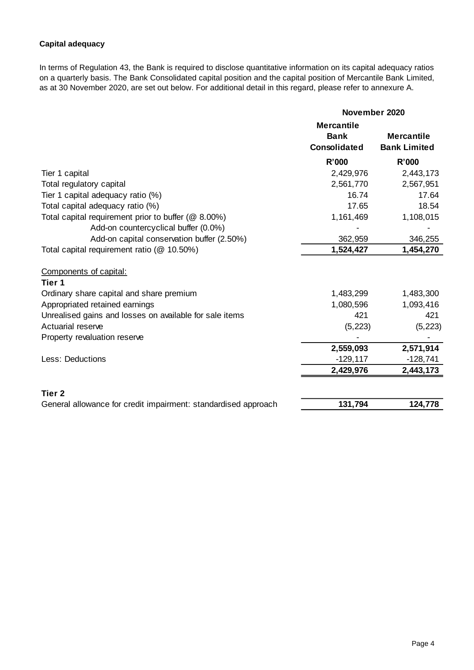## **Capital adequacy**

In terms of Regulation 43, the Bank is required to disclose quantitative information on its capital adequacy ratios on a quarterly basis. The Bank Consolidated capital position and the capital position of Mercantile Bank Limited, as at 30 November 2020, are set out below. For additional detail in this regard, please refer to annexure A.

|                                                                |                                  | November 2020       |  |  |
|----------------------------------------------------------------|----------------------------------|---------------------|--|--|
|                                                                | <b>Mercantile</b><br><b>Bank</b> | <b>Mercantile</b>   |  |  |
|                                                                | <b>Consolidated</b>              | <b>Bank Limited</b> |  |  |
|                                                                | <b>R'000</b>                     | R'000               |  |  |
| Tier 1 capital                                                 | 2,429,976                        | 2,443,173           |  |  |
| Total regulatory capital                                       | 2,561,770                        | 2,567,951           |  |  |
| Tier 1 capital adequacy ratio (%)                              | 16.74                            | 17.64               |  |  |
| Total capital adequacy ratio (%)                               | 17.65                            | 18.54               |  |  |
| Total capital requirement prior to buffer (@ 8.00%)            | 1,161,469                        | 1,108,015           |  |  |
| Add-on countercyclical buffer (0.0%)                           |                                  |                     |  |  |
| Add-on capital conservation buffer (2.50%)                     | 362,959                          | 346,255             |  |  |
| Total capital requirement ratio (@ 10.50%)                     | 1,524,427                        | 1,454,270           |  |  |
| Components of capital:                                         |                                  |                     |  |  |
| Tier 1                                                         |                                  |                     |  |  |
| Ordinary share capital and share premium                       | 1,483,299                        | 1,483,300           |  |  |
| Appropriated retained earnings                                 | 1,080,596                        | 1,093,416           |  |  |
| Unrealised gains and losses on available for sale items        | 421                              | 421                 |  |  |
| Actuarial reserve                                              | (5, 223)                         | (5, 223)            |  |  |
| Property revaluation reserve                                   |                                  |                     |  |  |
|                                                                | 2,559,093                        | 2,571,914           |  |  |
| <b>Less: Deductions</b>                                        | $-129, 117$                      | $-128,741$          |  |  |
|                                                                | 2,429,976                        | 2,443,173           |  |  |
| Tier <sub>2</sub>                                              |                                  |                     |  |  |
| General allowance for credit impairment: standardised approach | 131,794                          | 124,778             |  |  |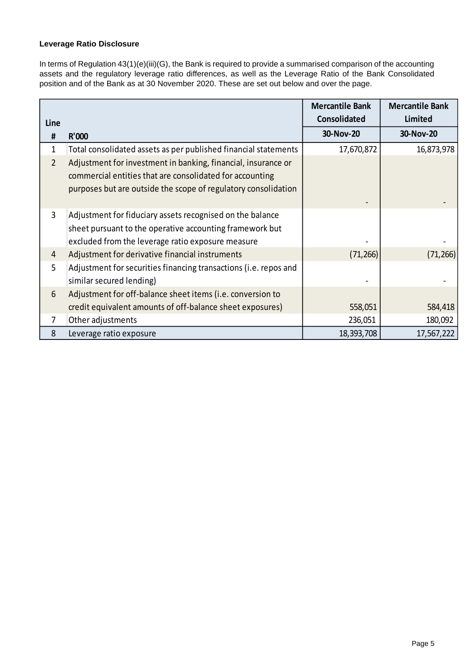## **Leverage Ratio Disclosure**

In terms of Regulation 43(1)(e)(iii)(G), the Bank is required to provide a summarised comparison of the accounting assets and the regulatory leverage ratio differences, as well as the Leverage Ratio of the Bank Consolidated position and of the Bank as at 30 November 2020. These are set out below and over the page.

| Line |                                                                                                                                                                                             | <b>Mercantile Bank</b><br><b>Consolidated</b> | <b>Mercantile Bank</b><br><b>Limited</b> |
|------|---------------------------------------------------------------------------------------------------------------------------------------------------------------------------------------------|-----------------------------------------------|------------------------------------------|
| #    | R'000                                                                                                                                                                                       | 30-Nov-20                                     | 30-Nov-20                                |
| 1    | Total consolidated assets as per published financial statements                                                                                                                             | 17,670,872                                    | 16,873,978                               |
| 2    | Adjustment for investment in banking, financial, insurance or<br>commercial entities that are consolidated for accounting<br>purposes but are outside the scope of regulatory consolidation |                                               |                                          |
| 3    | Adjustment for fiduciary assets recognised on the balance<br>sheet pursuant to the operative accounting framework but<br>excluded from the leverage ratio exposure measure                  |                                               |                                          |
| 4    | Adjustment for derivative financial instruments                                                                                                                                             | (71, 266)                                     | (71, 266)                                |
| 5    | Adjustment for securities financing transactions (i.e. repos and<br>similar secured lending)                                                                                                |                                               |                                          |
| 6    | Adjustment for off-balance sheet items (i.e. conversion to                                                                                                                                  |                                               |                                          |
|      | credit equivalent amounts of off-balance sheet exposures)                                                                                                                                   | 558,051                                       | 584,418                                  |
| 7    | Other adjustments                                                                                                                                                                           | 236,051                                       | 180,092                                  |
| 8    | Leverage ratio exposure                                                                                                                                                                     | 18,393,708                                    | 17,567,222                               |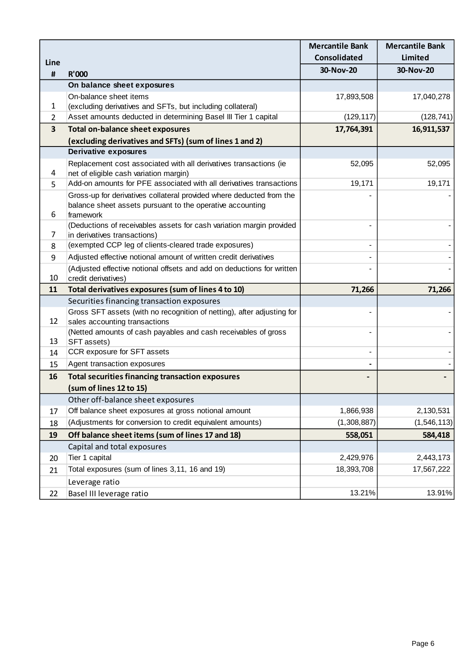|                |                                                                                                                      | <b>Mercantile Bank</b> | <b>Mercantile Bank</b> |
|----------------|----------------------------------------------------------------------------------------------------------------------|------------------------|------------------------|
| Line           |                                                                                                                      | <b>Consolidated</b>    | Limited                |
| $\pmb{\sharp}$ | <b>R'000</b>                                                                                                         | 30-Nov-20              | 30-Nov-20              |
|                | On balance sheet exposures                                                                                           |                        |                        |
|                | On-balance sheet items                                                                                               | 17,893,508             | 17,040,278             |
| 1              | (excluding derivatives and SFTs, but including collateral)                                                           |                        |                        |
| 2              | Asset amounts deducted in determining Basel III Tier 1 capital                                                       | (129, 117)             | (128, 741)             |
| 3              | <b>Total on-balance sheet exposures</b>                                                                              | 17,764,391             | 16,911,537             |
|                | (excluding derivatives and SFTs) (sum of lines 1 and 2)                                                              |                        |                        |
|                | <b>Derivative exposures</b>                                                                                          |                        |                        |
|                | Replacement cost associated with all derivatives transactions (ie                                                    | 52,095                 | 52,095                 |
| 4              | net of eligible cash variation margin)                                                                               |                        |                        |
| 5              | Add-on amounts for PFE associated with all derivatives transactions                                                  | 19,171                 | 19,171                 |
|                | Gross-up for derivatives collateral provided where deducted from the                                                 |                        |                        |
|                | balance sheet assets pursuant to the operative accounting                                                            |                        |                        |
| 6              | framework                                                                                                            |                        |                        |
|                | (Deductions of receivables assets for cash variation margin provided                                                 |                        |                        |
| 7              | in derivatives transactions)<br>(exempted CCP leg of clients-cleared trade exposures)                                |                        |                        |
| 8              |                                                                                                                      |                        |                        |
| 9              | Adjusted effective notional amount of written credit derivatives                                                     |                        |                        |
| 10             | (Adjusted effective notional offsets and add on deductions for written                                               |                        |                        |
| 11             | credit derivatives)<br>Total derivatives exposures (sum of lines 4 to 10)                                            |                        |                        |
|                |                                                                                                                      | 71,266                 | 71,266                 |
|                | Securities financing transaction exposures<br>Gross SFT assets (with no recognition of netting), after adjusting for |                        |                        |
| 12             | sales accounting transactions                                                                                        |                        |                        |
|                | (Netted amounts of cash payables and cash receivables of gross                                                       |                        |                        |
| 13             | SFT assets)                                                                                                          |                        |                        |
| 14             | CCR exposure for SFT assets                                                                                          |                        |                        |
| 15             | Agent transaction exposures                                                                                          |                        |                        |
| 16             | <b>Total securities financing transaction exposures</b>                                                              |                        |                        |
|                | (sum of lines 12 to 15)                                                                                              |                        |                        |
|                | Other off-balance sheet exposures                                                                                    |                        |                        |
| 17             | Off balance sheet exposures at gross notional amount                                                                 | 1,866,938              | 2,130,531              |
| 18             | (Adjustments for conversion to credit equivalent amounts)                                                            | (1,308,887)            | (1, 546, 113)          |
| 19             | Off balance sheet items (sum of lines 17 and 18)                                                                     | 558,051                | 584,418                |
|                | Capital and total exposures                                                                                          |                        |                        |
| 20             | Tier 1 capital                                                                                                       | 2,429,976              | 2,443,173              |
| 21             | Total exposures (sum of lines 3,11, 16 and 19)                                                                       | 18,393,708             | 17,567,222             |
|                | Leverage ratio                                                                                                       |                        |                        |
|                |                                                                                                                      | 13.21%                 | 13.91%                 |
| 22             | Basel III leverage ratio                                                                                             |                        |                        |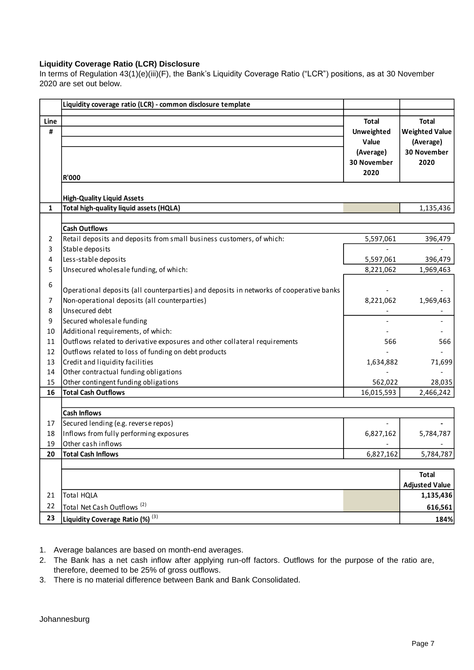#### **Liquidity Coverage Ratio (LCR) Disclosure**

In terms of Regulation 43(1)(e)(iii)(F), the Bank's Liquidity Coverage Ratio ("LCR") positions, as at 30 November 2020 are set out below.

|      | Liquidity coverage ratio (LCR) - common disclosure template                             |              |                       |
|------|-----------------------------------------------------------------------------------------|--------------|-----------------------|
| Line |                                                                                         | <b>Total</b> | <b>Total</b>          |
| #    |                                                                                         | Unweighted   | <b>Weighted Value</b> |
|      |                                                                                         | Value        | (Average)             |
|      |                                                                                         | (Average)    | 30 November           |
|      |                                                                                         | 30 November  | 2020                  |
|      |                                                                                         | 2020         |                       |
|      | <b>R'000</b>                                                                            |              |                       |
|      | <b>High-Quality Liquid Assets</b>                                                       |              |                       |
| 1    | Total high-quality liquid assets (HQLA)                                                 |              | 1,135,436             |
|      |                                                                                         |              |                       |
|      | <b>Cash Outflows</b>                                                                    |              |                       |
| 2    | Retail deposits and deposits from small business customers, of which:                   | 5,597,061    | 396,479               |
| 3    | Stable deposits                                                                         |              |                       |
| 4    | Less-stable deposits                                                                    | 5,597,061    | 396,479               |
| 5    | Unsecured wholesale funding, of which:                                                  | 8,221,062    | 1,969,463             |
| 6    |                                                                                         |              |                       |
|      | Operational deposits (all counterparties) and deposits in networks of cooperative banks |              |                       |
| 7    | Non-operational deposits (all counterparties)                                           | 8,221,062    | 1,969,463             |
| 8    | Unsecured debt                                                                          |              |                       |
| 9    | Secured wholesale funding                                                               |              |                       |
| 10   | Additional requirements, of which:                                                      |              |                       |
| 11   | Outflows related to derivative exposures and other collateral requirements              | 566          | 566                   |
| 12   | Outflows related to loss of funding on debt products                                    |              |                       |
| 13   | Credit and liquidity facilities                                                         | 1,634,882    | 71,699                |
| 14   | Other contractual funding obligations                                                   |              |                       |
| 15   | Other contingent funding obligations                                                    | 562,022      | 28,035                |
| 16   | <b>Total Cash Outflows</b>                                                              | 16,015,593   | 2,466,242             |
|      |                                                                                         |              |                       |
|      | <b>Cash Inflows</b>                                                                     |              |                       |
| 17   | Secured lending (e.g. reverse repos)                                                    |              |                       |
| 18   | Inflows from fully performing exposures                                                 | 6,827,162    | 5,784,787             |
| 19   | Other cash inflows                                                                      |              |                       |
| 20   | <b>Total Cash Inflows</b>                                                               | 6,827,162    | 5,784,787             |
|      |                                                                                         |              |                       |
|      |                                                                                         |              | <b>Total</b>          |
|      |                                                                                         |              | <b>Adjusted Value</b> |
| 21   | <b>Total HQLA</b>                                                                       |              | 1,135,436             |
| 22   | Total Net Cash Outflows <sup>(2)</sup>                                                  |              | 616,561               |
| 23   | Liquidity Coverage Ratio (%) (3)                                                        |              | 184%                  |

1. Average balances are based on month-end averages.

- 2. The Bank has a net cash inflow after applying run-off factors. Outflows for the purpose of the ratio are, therefore, deemed to be 25% of gross outflows.
- 3. There is no material difference between Bank and Bank Consolidated.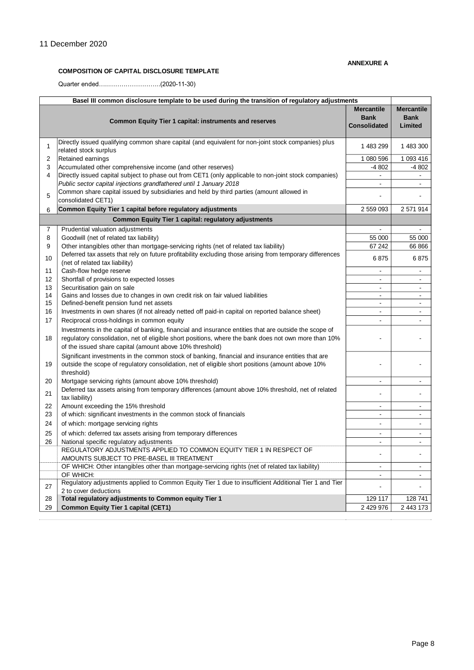#### **ANNEXURE A**

#### **COMPOSITION OF CAPITAL DISCLOSURE TEMPLATE**

Quarter ended….……………………..(2020-11-30)

| Basel III common disclosure template to be used during the transition of regulatory adjustments |                                                                                                                                                                                                                                                                           |                                                         |                                             |  |  |
|-------------------------------------------------------------------------------------------------|---------------------------------------------------------------------------------------------------------------------------------------------------------------------------------------------------------------------------------------------------------------------------|---------------------------------------------------------|---------------------------------------------|--|--|
|                                                                                                 | Common Equity Tier 1 capital: instruments and reserves                                                                                                                                                                                                                    | <b>Mercantile</b><br><b>Bank</b><br><b>Consolidated</b> | <b>Mercantile</b><br><b>Bank</b><br>Limited |  |  |
| 1                                                                                               | Directly issued qualifying common share capital (and equivalent for non-joint stock companies) plus<br>related stock surplus                                                                                                                                              | 1 483 299                                               | 1 483 300                                   |  |  |
| 2                                                                                               | Retained earnings                                                                                                                                                                                                                                                         | 1 080 596                                               | 1 093 416                                   |  |  |
| 3                                                                                               | Accumulated other comprehensive income (and other reserves)                                                                                                                                                                                                               | $-4802$                                                 | $-4802$                                     |  |  |
| 4                                                                                               | Directly issued capital subject to phase out from CET1 (only applicable to non-joint stock companies)                                                                                                                                                                     | $\blacksquare$                                          |                                             |  |  |
|                                                                                                 | Public sector capital injections grandfathered until 1 January 2018                                                                                                                                                                                                       | $\blacksquare$                                          | $\blacksquare$                              |  |  |
| 5                                                                                               | Common share capital issued by subsidiaries and held by third parties (amount allowed in<br>consolidated CET1)                                                                                                                                                            |                                                         |                                             |  |  |
| 6                                                                                               | Common Equity Tier 1 capital before regulatory adjustments                                                                                                                                                                                                                | 2 559 093                                               | 2 571 914                                   |  |  |
|                                                                                                 | <b>Common Equity Tier 1 capital: regulatory adjustments</b>                                                                                                                                                                                                               |                                                         |                                             |  |  |
| 7                                                                                               | Prudential valuation adjustments                                                                                                                                                                                                                                          | $\sim$                                                  | ۰                                           |  |  |
| 8                                                                                               | Goodwill (net of related tax liability)                                                                                                                                                                                                                                   | 55 000                                                  | 55 000                                      |  |  |
| 9                                                                                               | Other intangibles other than mortgage-servicing rights (net of related tax liability)                                                                                                                                                                                     | 67 242                                                  | 66 866                                      |  |  |
| 10                                                                                              | Deferred tax assets that rely on future profitability excluding those arising from temporary differences<br>(net of related tax liability)                                                                                                                                | 6875                                                    | 6875                                        |  |  |
| 11                                                                                              | Cash-flow hedge reserve                                                                                                                                                                                                                                                   | $\blacksquare$                                          | $\blacksquare$                              |  |  |
| 12                                                                                              | Shortfall of provisions to expected losses                                                                                                                                                                                                                                | $\blacksquare$                                          | $\blacksquare$                              |  |  |
| 13                                                                                              | Securitisation gain on sale                                                                                                                                                                                                                                               | $\blacksquare$                                          | $\blacksquare$                              |  |  |
| 14<br>15                                                                                        | Gains and losses due to changes in own credit risk on fair valued liabilities<br>Defined-benefit pension fund net assets                                                                                                                                                  | $\blacksquare$                                          | $\blacksquare$                              |  |  |
| 16                                                                                              | Investments in own shares (if not already netted off paid-in capital on reported balance sheet)                                                                                                                                                                           | $\sim$                                                  | $\overline{a}$                              |  |  |
| 17                                                                                              | Reciprocal cross-holdings in common equity                                                                                                                                                                                                                                |                                                         |                                             |  |  |
| 18                                                                                              | Investments in the capital of banking, financial and insurance entities that are outside the scope of<br>regulatory consolidation, net of eligible short positions, where the bank does not own more than 10%<br>of the issued share capital (amount above 10% threshold) |                                                         |                                             |  |  |
| 19                                                                                              | Significant investments in the common stock of banking, financial and insurance entities that are<br>outside the scope of regulatory consolidation, net of eligible short positions (amount above 10%<br>threshold)                                                       |                                                         |                                             |  |  |
| 20                                                                                              | Mortgage servicing rights (amount above 10% threshold)                                                                                                                                                                                                                    |                                                         |                                             |  |  |
| 21                                                                                              | Deferred tax assets arising from temporary differences (amount above 10% threshold, net of related<br>tax liability)                                                                                                                                                      |                                                         | $\overline{\phantom{a}}$                    |  |  |
| 22                                                                                              | Amount exceeding the 15% threshold                                                                                                                                                                                                                                        | $\sim$                                                  | $\overline{a}$                              |  |  |
| 23                                                                                              | of which: significant investments in the common stock of financials                                                                                                                                                                                                       | $\sim$                                                  | $\blacksquare$                              |  |  |
| 24                                                                                              | of which: mortgage servicing rights                                                                                                                                                                                                                                       | $\blacksquare$                                          | $\overline{a}$                              |  |  |
| 25                                                                                              | of which: deferred tax assets arising from temporary differences                                                                                                                                                                                                          | $\blacksquare$                                          | $\overline{a}$                              |  |  |
| 26                                                                                              | National specific regulatory adjustments                                                                                                                                                                                                                                  | $\blacksquare$                                          | $\blacksquare$                              |  |  |
|                                                                                                 | REGULATORY ADJUSTMENTS APPLIED TO COMMON EQUITY TIER 1 IN RESPECT OF<br>AMOUNTS SUBJECT TO PRE-BASEL III TREATMENT                                                                                                                                                        |                                                         |                                             |  |  |
|                                                                                                 | OF WHICH: Other intangibles other than mortgage-servicing rights (net of related tax liability)                                                                                                                                                                           |                                                         | $\overline{a}$                              |  |  |
|                                                                                                 | OF WHICH:                                                                                                                                                                                                                                                                 | $\blacksquare$                                          | $\blacksquare$                              |  |  |
| 27                                                                                              | Regulatory adjustments applied to Common Equity Tier 1 due to insufficient Additional Tier 1 and Tier<br>2 to cover deductions                                                                                                                                            |                                                         |                                             |  |  |
| 28                                                                                              | Total regulatory adjustments to Common equity Tier 1                                                                                                                                                                                                                      | 129 117                                                 | 128 741                                     |  |  |
| 29                                                                                              | <b>Common Equity Tier 1 capital (CET1)</b>                                                                                                                                                                                                                                | 2 429 976                                               | 2 443 173                                   |  |  |

 $\overline{\phantom{a}}$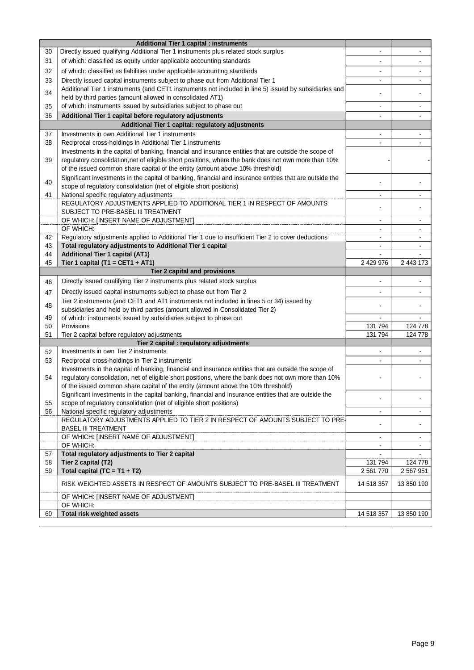|    | <b>Additional Tier 1 capital : instruments</b>                                                                                                                                                                |                          |                          |
|----|---------------------------------------------------------------------------------------------------------------------------------------------------------------------------------------------------------------|--------------------------|--------------------------|
| 30 | Directly issued qualifying Additional Tier 1 instruments plus related stock surplus                                                                                                                           |                          |                          |
| 31 | of which: classified as equity under applicable accounting standards                                                                                                                                          |                          |                          |
| 32 | of which: classified as liabilities under applicable accounting standards                                                                                                                                     |                          |                          |
| 33 | Directly issued capital instruments subject to phase out from Additional Tier 1                                                                                                                               |                          |                          |
|    | Additional Tier 1 instruments (and CET1 instruments not included in line 5) issued by subsidiaries and                                                                                                        |                          |                          |
| 34 | held by third parties (amount allowed in consolidated AT1)                                                                                                                                                    |                          |                          |
| 35 | of which: instruments issued by subsidiaries subject to phase out                                                                                                                                             | ٠                        | $\overline{\phantom{a}}$ |
| 36 | Additional Tier 1 capital before regulatory adjustments                                                                                                                                                       | ۰                        |                          |
|    | Additional Tier 1 capital: regulatory adjustments                                                                                                                                                             |                          |                          |
| 37 | Investments in own Additional Tier 1 instruments                                                                                                                                                              | $\overline{\phantom{a}}$ | $\blacksquare$           |
| 38 | Reciprocal cross-holdings in Additional Tier 1 instruments                                                                                                                                                    |                          |                          |
|    | Investments in the capital of banking, financial and insurance entities that are outside the scope of                                                                                                         |                          |                          |
| 39 | regulatory consolidation, net of eligible short positions, where the bank does not own more than 10%                                                                                                          |                          |                          |
|    | of the issued common share capital of the entity (amount above 10% threshold)                                                                                                                                 |                          |                          |
| 40 | Significant investments in the capital of banking, financial and insurance entities that are outside the                                                                                                      |                          |                          |
|    | scope of regulatory consolidation (net of eligible short positions)                                                                                                                                           |                          |                          |
| 41 | National specific regulatory adjustments                                                                                                                                                                      | ٠                        | ٠                        |
|    | REGULATORY ADJUSTMENTS APPLIED TO ADDITIONAL TIER 1 IN RESPECT OF AMOUNTS                                                                                                                                     |                          |                          |
|    | SUBJECT TO PRE-BASEL III TREATMENT<br>OF WHICH: [INSERT NAME OF ADJUSTMENT]                                                                                                                                   | $\blacksquare$           | $\overline{\phantom{a}}$ |
|    | OF WHICH:                                                                                                                                                                                                     |                          |                          |
| 42 | Regulatory adjustments applied to Additional Tier 1 due to insufficient Tier 2 to cover deductions                                                                                                            |                          |                          |
| 43 | Total regulatory adjustments to Additional Tier 1 capital                                                                                                                                                     | ÷,                       |                          |
| 44 | <b>Additional Tier 1 capital (AT1)</b>                                                                                                                                                                        | $\blacksquare$           |                          |
| 45 | Tier 1 capital (T1 = CET1 + AT1)                                                                                                                                                                              | 2 429 976                | 2 443 173                |
|    | Tier 2 capital and provisions                                                                                                                                                                                 |                          |                          |
| 46 | Directly issued qualifying Tier 2 instruments plus related stock surplus                                                                                                                                      |                          |                          |
| 47 | Directly issued capital instruments subject to phase out from Tier 2                                                                                                                                          |                          |                          |
|    | Tier 2 instruments (and CET1 and AT1 instruments not included in lines 5 or 34) issued by                                                                                                                     |                          |                          |
| 48 | subsidiaries and held by third parties (amount allowed in Consolidated Tier 2)                                                                                                                                |                          |                          |
| 49 | of which: instruments issued by subsidiaries subject to phase out                                                                                                                                             |                          |                          |
| 50 | Provisions                                                                                                                                                                                                    | 131 794                  | 124 778                  |
| 51 | Tier 2 capital before regulatory adjustments                                                                                                                                                                  | 131 794                  | 124 778                  |
|    | Tier 2 capital : regulatory adjustments                                                                                                                                                                       |                          |                          |
| 52 | Investments in own Tier 2 instruments                                                                                                                                                                         |                          |                          |
| 53 | Reciprocal cross-holdings in Tier 2 instruments                                                                                                                                                               |                          |                          |
| 54 | Investments in the capital of banking, financial and insurance entities that are outside the scope of<br>regulatory consolidation, net of eligible short positions, where the bank does not own more than 10% |                          |                          |
|    | of the issued common share capital of the entity (amount above the 10% threshold)                                                                                                                             |                          |                          |
|    | Significant investments in the capital banking, financial and insurance entities that are outside the                                                                                                         |                          |                          |
| 55 | scope of regulatory consolidation (net of eligible short positions)                                                                                                                                           |                          |                          |
| 56 | National specific regulatory adjustments                                                                                                                                                                      | $\blacksquare$           | $\blacksquare$           |
|    | REGULATORY ADJUSTMENTS APPLIED TO TIER 2 IN RESPECT OF AMOUNTS SUBJECT TO PRE-                                                                                                                                |                          |                          |
|    | <b>BASEL III TREATMENT</b>                                                                                                                                                                                    |                          |                          |
|    | OF WHICH: [INSERT NAME OF ADJUSTMENT]                                                                                                                                                                         |                          |                          |
|    | OF WHICH:                                                                                                                                                                                                     | $\blacksquare$           | $\blacksquare$           |
| 57 | Total regulatory adjustments to Tier 2 capital                                                                                                                                                                |                          |                          |
| 58 | Tier 2 capital (T2)                                                                                                                                                                                           | 131 794                  | 124 778                  |
| 59 | Total capital $(TC = T1 + T2)$                                                                                                                                                                                | 2 561 770                | 2 567 951                |
|    | RISK WEIGHTED ASSETS IN RESPECT OF AMOUNTS SUBJECT TO PRE-BASEL III TREATMENT                                                                                                                                 | 14 518 357               | 13 850 190               |
|    | OF WHICH: [INSERT NAME OF ADJUSTMENT]                                                                                                                                                                         |                          |                          |
|    | OF WHICH:                                                                                                                                                                                                     |                          |                          |
| 60 | Total risk weighted assets                                                                                                                                                                                    | 14 518 357               | 13 850 190               |